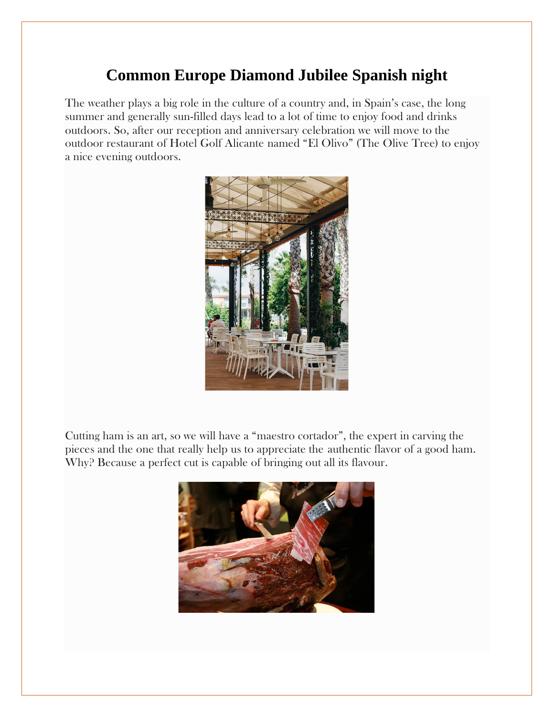## **Common Europe Diamond Jubilee Spanish night**

The weather plays a big role in the culture of a country and, in Spain's case, the long summer and generally sun-filled days lead to a lot of time to enjoy food and drinks outdoors. So, after our reception and anniversary celebration we will move to the outdoor restaurant of Hotel Golf Alicante named "El Olivo" (The Olive Tree) to enjoy a nice evening outdoors.



Cutting ham is an art, so we will have a "maestro cortador", the expert in carving the pieces and the one that really help us to appreciate the authentic flavor of a good ham. Why? Because a perfect cut is capable of bringing out all its flavour.

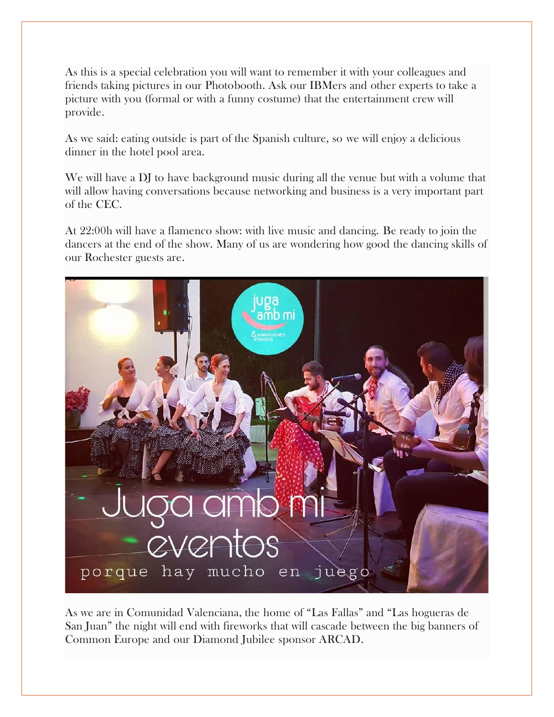As this is a special celebration you will want to remember it with your colleagues and friends taking pictures in our Photobooth. Ask our IBMers and other experts to take a picture with you (formal or with a funny costume) that the entertainment crew will provide.

As we said: eating outside is part of the Spanish culture, so we will enjoy a delicious dinner in the hotel pool area.

We will have a DJ to have background music during all the venue but with a volume that will allow having conversations because networking and business is a very important part of the CEC.

At 22:00h will have a flamenco show: with live music and dancing. Be ready to join the dancers at the end of the show. Many of us are wondering how good the dancing skills of our Rochester guests are.



As we are in Comunidad Valenciana, the home of "Las Fallas" and "Las hogueras de San Juan" the night will end with fireworks that will cascade between the big banners of Common Europe and our Diamond Jubilee sponsor ARCAD.